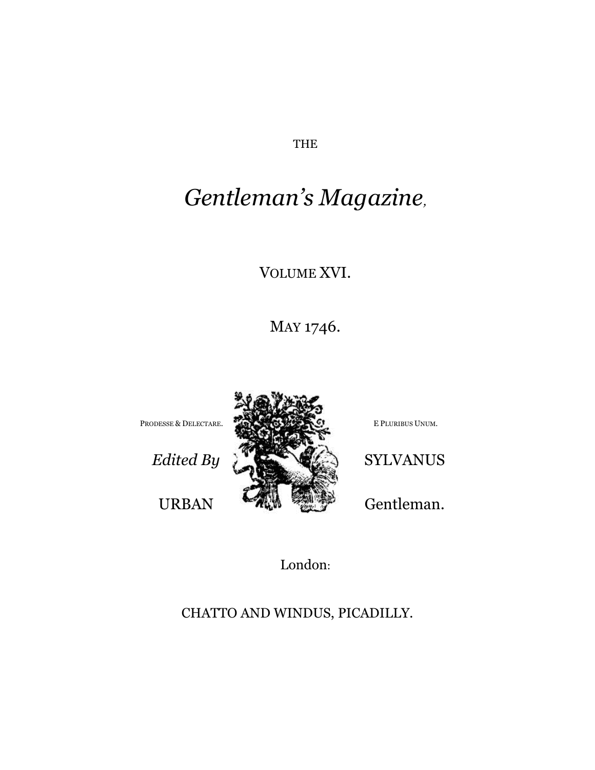THE

# *Gentleman's Magazine,*

VOLUME XVI.

MAY 1746.



London:

CHATTO AND WINDUS, PICADILLY.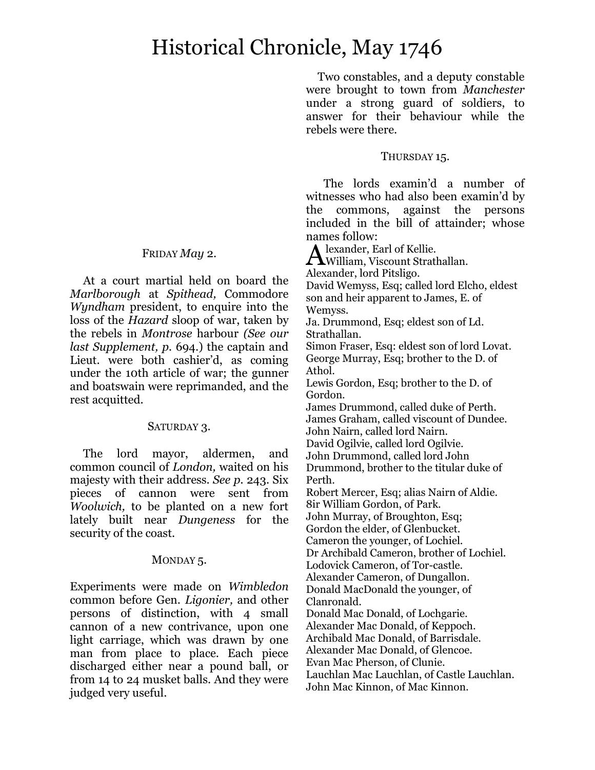## Historical Chronicle, May 1746

Two constables, and a deputy constable were brought to town from *Manchester*  under a strong guard of soldiers, to answer for their behaviour while the rebels were there.

#### THURSDAY 15.

The lords examin'd a number of witnesses who had also been examin'd by the commons, against the persons included in the bill of attainder; whose names follow:

lexander, Earl of Kellie.

Alexander, Earl of Kellie.<br>William, Viscount Strathallan.

Alexander, lord Pitsligo.

David Wemyss, Esq; called lord Elcho, eldest son and heir apparent to James, E. of Wemyss.

Ja. Drummond, Esq; eldest son of Ld. Strathallan.

Simon Fraser, Esq: eldest son of lord Lovat. George Murray, Esq; brother to the D. of Athol.

Lewis Gordon, Esq; brother to the D. of Gordon.

James Drummond, called duke of Perth. James Graham, called viscount of Dundee. John Nairn, called lord Nairn.

David Ogilvie, called lord Ogilvie.

John Drummond, called lord John

Drummond, brother to the titular duke of Perth.

Robert Mercer, Esq; alias Nairn of Aldie. 8ir William Gordon, of Park.

John Murray, of Broughton, Esq; Gordon the elder, of Glenbucket.

Cameron the younger, of Lochiel.

Dr Archibald Cameron, brother of Lochiel.

Lodovick Cameron, of Tor-castle.

Alexander Cameron, of Dungallon. Donald MacDonald the younger, of

Clanronald.

Donald Mac Donald, of Lochgarie.

Alexander Mac Donald, of Keppoch. Archibald Mac Donald, of Barrisdale.

Alexander Mac Donald, of Glencoe.

Evan Mac Pherson, of Clunie.

Lauchlan Mac Lauchlan, of Castle Lauchlan. John Mac Kinnon, of Mac Kinnon.

### FRIDAY *May* 2.

At a court martial held on board the *Marlborough* at *Spithead,* Commodore *Wyndham* president, to enquire into the loss of the *Hazard* sloop of war, taken by the rebels in *Montrose* harbour *(See our last Supplement, p.* 694.) the captain and Lieut. were both cashier'd, as coming under the 10th article of war; the gunner and boatswain were reprimanded, and the rest acquitted.

#### SATURDAY 3.

The lord mayor, aldermen, and common council of *London,* waited on his majesty with their address. *See p.* 243. Six pieces of cannon were sent from *Woolwich,* to be planted on a new fort lately built near *Dungeness* for the security of the coast.

## MONDAY<sub>5</sub>.

Experiments were made on *Wimbledon*  common before Gen. *Ligonier,* and other persons of distinction, with 4 small cannon of a new contrivance, upon one light carriage, which was drawn by one man from place to place. Each piece discharged either near a pound ball, or from 14 to 24 musket balls. And they were judged very useful.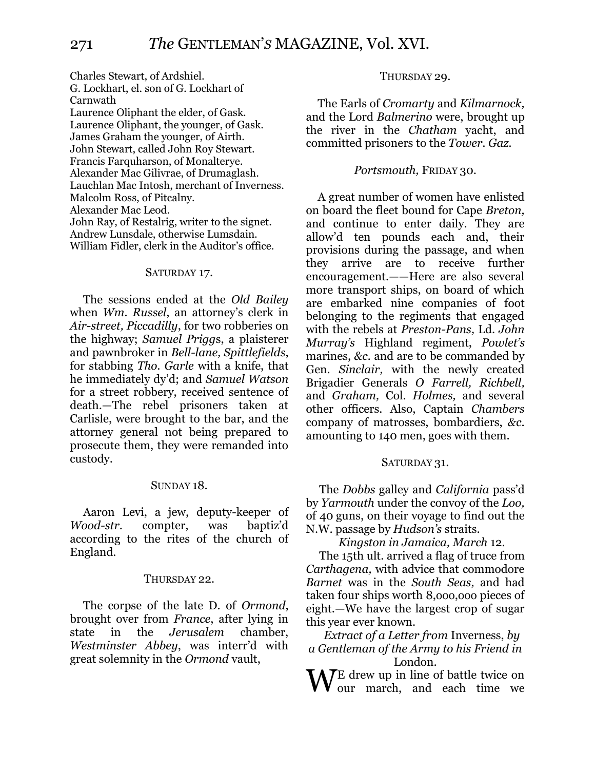Charles Stewart, of Ardshiel. G. Lockhart, el. son of G. Lockhart of Carnwath Laurence Oliphant the elder, of Gask. Laurence Oliphant, the younger, of Gask. James Graham the younger, of Airth. John Stewart, called John Roy Stewart. Francis Farquharson, of Monalterye. Alexander Mac Gilivrae, of Drumaglash. Lauchlan Mac Intosh, merchant of Inverness. Malcolm Ross, of Pitcalny. Alexander Mac Leod. John Ray, of Restalrig, writer to the signet. Andrew Lunsdale, otherwise Lumsdain. William Fidler, clerk in the Auditor's office.

#### SATURDAY 17.

The sessions ended at the *Old Bailey* when *Wm. Russel*, an attorney's clerk in *Air-street, Piccadilly*, for two robberies on the highway; *Samuel Prigg*s, a plaisterer and pawnbroker in *Bell-lane, Spittlefields*, for stabbing *Tho. Garle* with a knife, that he immediately dy'd; and *Samuel Watson* for a street robbery, received sentence of death.—The rebel prisoners taken at Carlisle, were brought to the bar, and the attorney general not being prepared to prosecute them, they were remanded into custody.

#### SUNDAY 18.

Aaron Levi, a jew, deputy-keeper of *Wood-str*. compter, was baptiz'd according to the rites of the church of England.

#### THURSDAY 22.

The corpse of the late D. of *Ormond*, brought over from *France*, after lying in state in the *Jerusalem* chamber, *Westminster Abbey*, was interr'd with great solemnity in the *Ormond* vault,

#### THURSDAY 29.

The Earls of *Cromarty* and *Kilmarnock,*  and the Lord *Balmerino* were, brought up the river in the *Chatham* yacht, and committed prisoners to the *Tower. Gaz.*

#### *Portsmouth,* FRIDAY 30.

A great number of women have enlisted on board the fleet bound for Cape *Breton,*  and continue to enter daily. They are allow'd ten pounds each and, their provisions during the passage, and when they arrive are to receive further encouragement.——Here are also several more transport ships, on board of which are embarked nine companies of foot belonging to the regiments that engaged with the rebels at *Preston-Pans,* Ld. *John Murray's* Highland regiment, *Powlet's*  marines, *&c.* and are to be commanded by Gen. *Sinclair,* with the newly created Brigadier Generals *O Farrell, Richbell,*  and *Graham,* Col. *Holmes,* and several other officers. Also, Captain *Chambers*  company of matrosses, bombardiers, *&c*. amounting to 140 men, goes with them.

#### SATURDAY 31.

The *Dobbs* galley and *California* pass'd by *Yarmouth* under the convoy of the *Loo,*  of 40 guns, on their voyage to find out the N.W. passage by *Hudson's* straits.

*Kingston in Jamaica, March* 12.

The 15th ult. arrived a flag of truce from *Carthagena,* with advice that commodore *Barnet* was in the *South Seas,* and had taken four ships worth 8,ooo,ooo pieces of eight.—We have the largest crop of sugar this year ever known.

*Extract of a Letter from* Inverness, *by a Gentleman of the Army to his Friend in*  London.

 $\int \mathbf{E}$  drew up in line of battle twice on our march, and each time we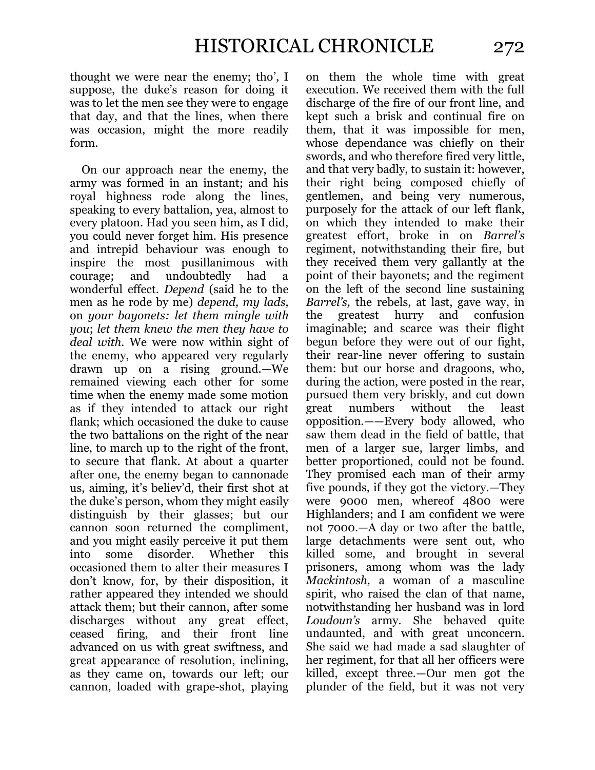thought we were near the enemy; tho', I suppose, the duke's reason for doing it was to let the men see they were to engage that day, and that the lines, when there was occasion, might the more readily form.

On our approach near the enemy, the army was formed in an instant; and his royal highness rode along the lines, speaking to every battalion, yea, almost to every platoon. Had you seen him, as I did, you could never forget him. His presence and intrepid behaviour was enough to inspire the most pusillanimous with courage; and undoubtedly had a wonderful effect. *Depend* (said he to the men as he rode by me) *depend, my lads,*  on *your bayonets: let them mingle with you*; *let them knew the men they have to deal with.* We were now within sight of the enemy, who appeared very regularly drawn up on a rising ground.—We remained viewing each other for some time when the enemy made some motion as if they intended to attack our right flank; which occasioned the duke to cause the two battalions on the right of the near line, to march up to the right of the front, to secure that flank. At about a quarter after one, the enemy began to cannonade us, aiming, it's believ'd, their first shot at the duke's person, whom they might easily distinguish by their glasses; but our cannon soon returned the compliment, and you might easily perceive it put them into some disorder. Whether this occasioned them to alter their measures I don't know, for, by their disposition, it rather appeared they intended we should attack them; but their cannon, after some discharges without any great effect, ceased firing, and their front line advanced on us with great swiftness, and great appearance of resolution, inclining, as they came on, towards our left; our cannon, loaded with grape-shot, playing

on them the whole time with great execution. We received them with the full discharge of the fire of our front line, and kept such a brisk and continual fire on them, that it was impossible for men, whose dependance was chiefly on their swords, and who therefore fired very little, and that very badly, to sustain it: however, their right being composed chiefly of gentlemen, and being very numerous, purposely for the attack of our left flank, on which they intended to make their greatest effort, broke in on *Barrel's*  regiment, notwithstanding their fire, but they received them very gallantly at the point of their bayonets; and the regiment on the left of the second line sustaining *Barrel's,* the rebels, at last, gave way, in the greatest hurry and confusion imaginable; and scarce was their flight begun before they were out of our fight, their rear-line never offering to sustain them: but our horse and dragoons, who, during the action, were posted in the rear, pursued them very briskly, and cut down great numbers without the least opposition.——Every body allowed, who saw them dead in the field of battle, that men of a larger sue, larger limbs, and better proportioned, could not be found. They promised each man of their army five pounds, if they got the victory.—They were 9000 men, whereof 4800 were Highlanders; and I am confident we were not 7000.—A day or two after the battle, large detachments were sent out, who killed some, and brought in several prisoners, among whom was the lady *Mackintosh,* a woman of a masculine spirit, who raised the clan of that name, notwithstanding her husband was in lord *Loudoun's* army. She behaved quite undaunted, and with great unconcern. She said we had made a sad slaughter of her regiment, for that all her officers were killed, except three.—Our men got the plunder of the field, but it was not very